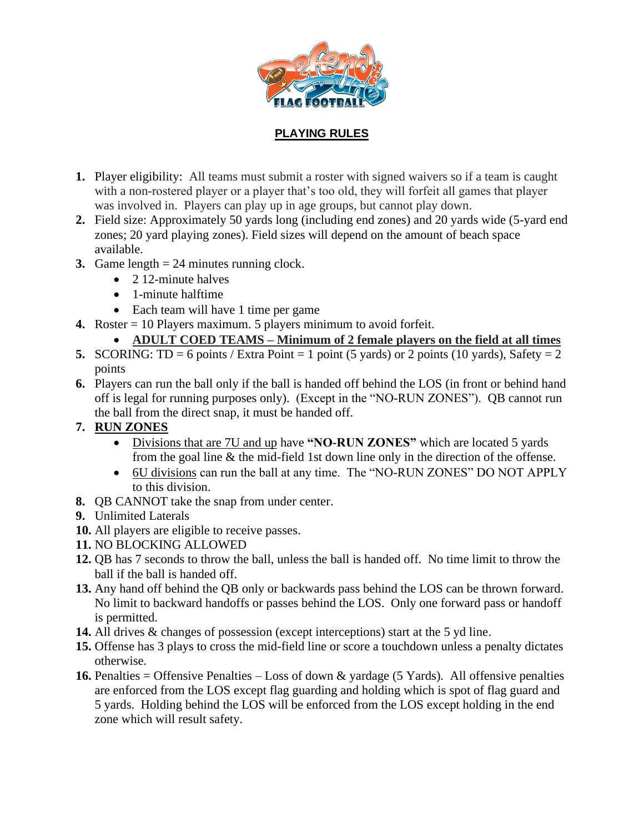

## **PLAYING RULES**

- **1.** Player eligibility: All teams must submit a roster with signed waivers so if a team is caught with a non-rostered player or a player that's too old, they will forfeit all games that player was involved in. Players can play up in age groups, but cannot play down.
- **2.** Field size: Approximately 50 yards long (including end zones) and 20 yards wide (5-yard end zones; 20 yard playing zones). Field sizes will depend on the amount of beach space available.
- **3.** Game length = 24 minutes running clock.
	- 2 12-minute halves
	- 1-minute halftime
	- Each team will have 1 time per game
- **4.** Roster = 10 Players maximum. 5 players minimum to avoid forfeit.

## • **ADULT COED TEAMS – Minimum of 2 female players on the field at all times**

- **5.** SCORING: TD = 6 points / Extra Point = 1 point (5 yards) or 2 points (10 yards), Safety = 2 points
- **6.** Players can run the ball only if the ball is handed off behind the LOS (in front or behind hand off is legal for running purposes only). (Except in the "NO-RUN ZONES"). QB cannot run the ball from the direct snap, it must be handed off.

## **7. RUN ZONES**

- Divisions that are 7U and up have **"NO-RUN ZONES"** which are located 5 yards from the goal line & the mid-field 1st down line only in the direction of the offense.
- 6U divisions can run the ball at any time. The "NO-RUN ZONES" DO NOT APPLY to this division.
- **8.** QB CANNOT take the snap from under center.
- **9.** Unlimited Laterals
- **10.** All players are eligible to receive passes.
- **11.** NO BLOCKING ALLOWED
- **12.** QB has 7 seconds to throw the ball, unless the ball is handed off. No time limit to throw the ball if the ball is handed off.
- **13.** Any hand off behind the QB only or backwards pass behind the LOS can be thrown forward. No limit to backward handoffs or passes behind the LOS. Only one forward pass or handoff is permitted.
- **14.** All drives & changes of possession (except interceptions) start at the 5 yd line.
- **15.** Offense has 3 plays to cross the mid-field line or score a touchdown unless a penalty dictates otherwise.
- **16.** Penalties = Offensive Penalties Loss of down & yardage (5 Yards). All offensive penalties are enforced from the LOS except flag guarding and holding which is spot of flag guard and 5 yards. Holding behind the LOS will be enforced from the LOS except holding in the end zone which will result safety.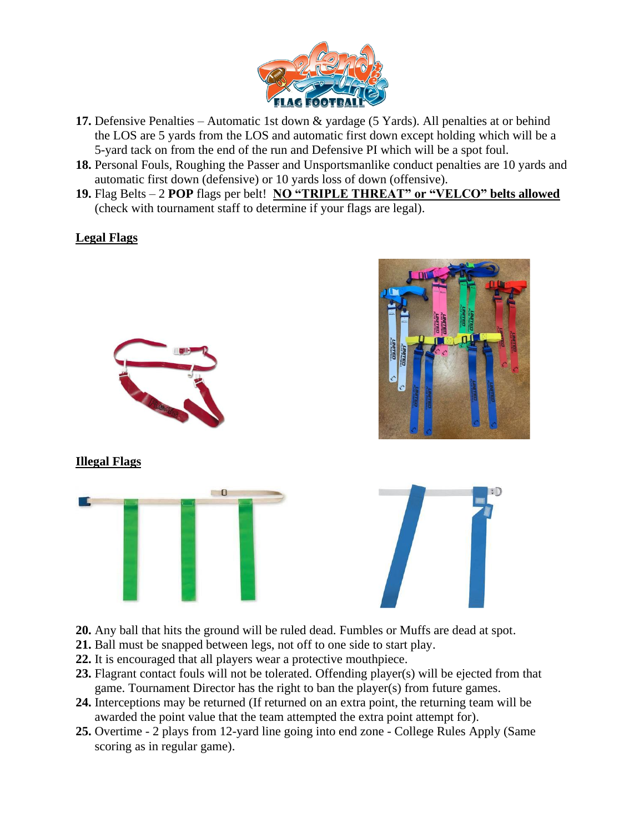

- **17.** Defensive Penalties Automatic 1st down & yardage (5 Yards). All penalties at or behind the LOS are 5 yards from the LOS and automatic first down except holding which will be a 5-yard tack on from the end of the run and Defensive PI which will be a spot foul.
- **18.** Personal Fouls, Roughing the Passer and Unsportsmanlike conduct penalties are 10 yards and automatic first down (defensive) or 10 yards loss of down (offensive).
- **19.** Flag Belts 2 **POP** flags per belt! **NO "TRIPLE THREAT" or "VELCO" belts allowed** (check with tournament staff to determine if your flags are legal).

## **Legal Flags**



- **20.** Any ball that hits the ground will be ruled dead. Fumbles or Muffs are dead at spot.
- **21.** Ball must be snapped between legs, not off to one side to start play.
- **22.** It is encouraged that all players wear a protective mouthpiece.
- **23.** Flagrant contact fouls will not be tolerated. Offending player(s) will be ejected from that game. Tournament Director has the right to ban the player(s) from future games.
- **24.** Interceptions may be returned (If returned on an extra point, the returning team will be awarded the point value that the team attempted the extra point attempt for).
- **25.** Overtime 2 plays from 12-yard line going into end zone College Rules Apply (Same scoring as in regular game).